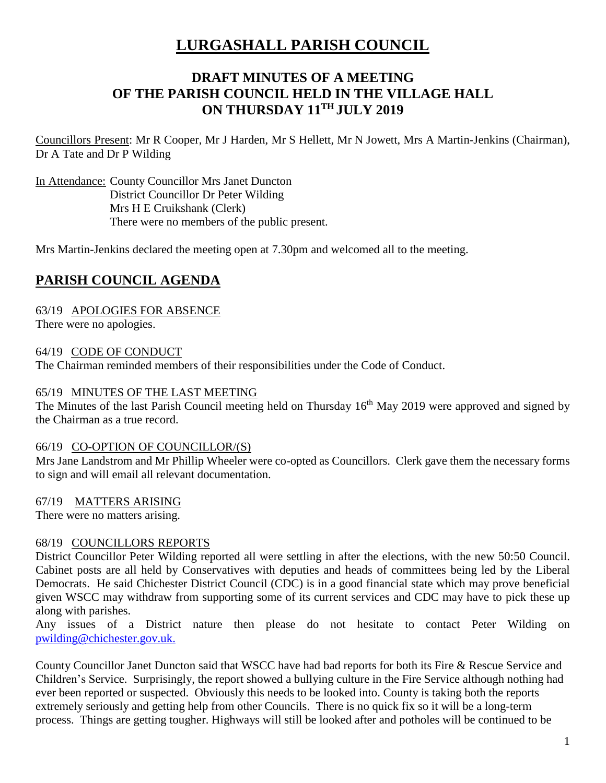# **LURGASHALL PARISH COUNCIL**

# **DRAFT MINUTES OF A MEETING OF THE PARISH COUNCIL HELD IN THE VILLAGE HALL ON THURSDAY 11TH JULY 2019**

Councillors Present: Mr R Cooper, Mr J Harden, Mr S Hellett, Mr N Jowett, Mrs A Martin-Jenkins (Chairman), Dr A Tate and Dr P Wilding

In Attendance: County Councillor Mrs Janet Duncton District Councillor Dr Peter Wilding Mrs H E Cruikshank (Clerk) There were no members of the public present.

Mrs Martin-Jenkins declared the meeting open at 7.30pm and welcomed all to the meeting.

# **PARISH COUNCIL AGENDA**

63/19 APOLOGIES FOR ABSENCE

There were no apologies.

64/19 CODE OF CONDUCT

The Chairman reminded members of their responsibilities under the Code of Conduct.

#### 65/19 MINUTES OF THE LAST MEETING

The Minutes of the last Parish Council meeting held on Thursday 16<sup>th</sup> May 2019 were approved and signed by the Chairman as a true record.

#### 66/19 CO-OPTION OF COUNCILLOR/(S)

Mrs Jane Landstrom and Mr Phillip Wheeler were co-opted as Councillors. Clerk gave them the necessary forms to sign and will email all relevant documentation.

67/19 MATTERS ARISING

There were no matters arising.

#### 68/19 COUNCILLORS REPORTS

District Councillor Peter Wilding reported all were settling in after the elections, with the new 50:50 Council. Cabinet posts are all held by Conservatives with deputies and heads of committees being led by the Liberal Democrats. He said Chichester District Council (CDC) is in a good financial state which may prove beneficial given WSCC may withdraw from supporting some of its current services and CDC may have to pick these up along with parishes.

Any issues of a District nature then please do not hesitate to contact Peter Wilding on pwilding@chichester.gov.uk.

County Councillor Janet Duncton said that WSCC have had bad reports for both its Fire & Rescue Service and Children's Service. Surprisingly, the report showed a bullying culture in the Fire Service although nothing had ever been reported or suspected. Obviously this needs to be looked into. County is taking both the reports extremely seriously and getting help from other Councils. There is no quick fix so it will be a long-term process. Things are getting tougher. Highways will still be looked after and potholes will be continued to be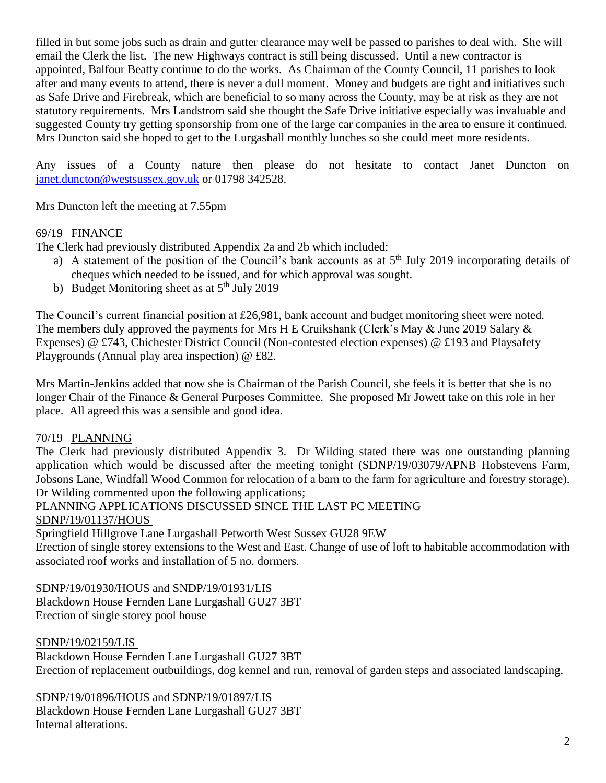filled in but some jobs such as drain and gutter clearance may well be passed to parishes to deal with. She will email the Clerk the list. The new Highways contract is still being discussed. Until a new contractor is appointed, Balfour Beatty continue to do the works. As Chairman of the County Council, 11 parishes to look after and many events to attend, there is never a dull moment. Money and budgets are tight and initiatives such as Safe Drive and Firebreak, which are beneficial to so many across the County, may be at risk as they are not statutory requirements. Mrs Landstrom said she thought the Safe Drive initiative especially was invaluable and suggested County try getting sponsorship from one of the large car companies in the area to ensure it continued. Mrs Duncton said she hoped to get to the Lurgashall monthly lunches so she could meet more residents.

Any issues of a County nature then please do not hesitate to contact Janet Duncton on [janet.duncton@westsussex.gov.uk](mailto:janet.duncton@westsussex.gov.uk) or 01798 342528.

Mrs Duncton left the meeting at 7.55pm

# 69/19 FINANCE

The Clerk had previously distributed Appendix 2a and 2b which included:

- a) A statement of the position of the Council's bank accounts as at  $5<sup>th</sup>$  July 2019 incorporating details of cheques which needed to be issued, and for which approval was sought.
- b) Budget Monitoring sheet as at  $5<sup>th</sup>$  July 2019

The Council's current financial position at £26,981, bank account and budget monitoring sheet were noted. The members duly approved the payments for Mrs H E Cruikshank (Clerk's May & June 2019 Salary & Expenses) @ £743, Chichester District Council (Non-contested election expenses) @ £193 and Playsafety Playgrounds (Annual play area inspection) @ £82.

Mrs Martin-Jenkins added that now she is Chairman of the Parish Council, she feels it is better that she is no longer Chair of the Finance & General Purposes Committee. She proposed Mr Jowett take on this role in her place. All agreed this was a sensible and good idea.

#### 70/19 PLANNING

The Clerk had previously distributed Appendix 3. Dr Wilding stated there was one outstanding planning application which would be discussed after the meeting tonight (SDNP/19/03079/APNB Hobstevens Farm, Jobsons Lane, Windfall Wood Common for relocation of a barn to the farm for agriculture and forestry storage). Dr Wilding commented upon the following applications;

# PLANNING APPLICATIONS DISCUSSED SINCE THE LAST PC MEETING

SDNP/19/01137/HOUS

Springfield Hillgrove Lane Lurgashall Petworth West Sussex GU28 9EW

Erection of single storey extensions to the West and East. Change of use of loft to habitable accommodation with associated roof works and installation of 5 no. dormers.

SDNP/19/01930/HOUS and SNDP/19/01931/LIS Blackdown House Fernden Lane Lurgashall GU27 3BT Erection of single storey pool house

#### SDNP/19/02159/LIS

Blackdown House Fernden Lane Lurgashall GU27 3BT Erection of replacement outbuildings, dog kennel and run, removal of garden steps and associated landscaping.

SDNP/19/01896/HOUS and SDNP/19/01897/LIS

Blackdown House Fernden Lane Lurgashall GU27 3BT Internal alterations.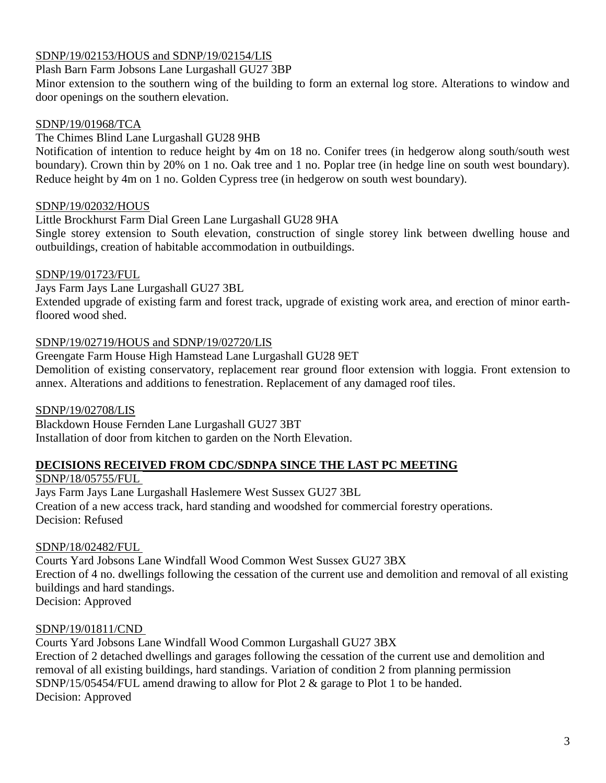# SDNP/19/02153/HOUS and SDNP/19/02154/LIS

Plash Barn Farm Jobsons Lane Lurgashall GU27 3BP

Minor extension to the southern wing of the building to form an external log store. Alterations to window and door openings on the southern elevation.

#### SDNP/19/01968/TCA

#### The Chimes Blind Lane Lurgashall GU28 9HB

Notification of intention to reduce height by 4m on 18 no. Conifer trees (in hedgerow along south/south west boundary). Crown thin by 20% on 1 no. Oak tree and 1 no. Poplar tree (in hedge line on south west boundary). Reduce height by 4m on 1 no. Golden Cypress tree (in hedgerow on south west boundary).

#### SDNP/19/02032/HOUS

#### Little Brockhurst Farm Dial Green Lane Lurgashall GU28 9HA

Single storey extension to South elevation, construction of single storey link between dwelling house and outbuildings, creation of habitable accommodation in outbuildings.

#### SDNP/19/01723/FUL

Jays Farm Jays Lane Lurgashall GU27 3BL

Extended upgrade of existing farm and forest track, upgrade of existing work area, and erection of minor earthfloored wood shed.

# SDNP/19/02719/HOUS and SDNP/19/02720/LIS

Greengate Farm House High Hamstead Lane Lurgashall GU28 9ET

Demolition of existing conservatory, replacement rear ground floor extension with loggia. Front extension to annex. Alterations and additions to fenestration. Replacement of any damaged roof tiles.

# SDNP/19/02708/LIS

Blackdown House Fernden Lane Lurgashall GU27 3BT Installation of door from kitchen to garden on the North Elevation.

# **DECISIONS RECEIVED FROM CDC/SDNPA SINCE THE LAST PC MEETING**

SDNP/18/05755/FUL

Jays Farm Jays Lane Lurgashall Haslemere West Sussex GU27 3BL Creation of a new access track, hard standing and woodshed for commercial forestry operations. Decision: Refused

# SDNP/18/02482/FUL

Courts Yard Jobsons Lane Windfall Wood Common West Sussex GU27 3BX Erection of 4 no. dwellings following the cessation of the current use and demolition and removal of all existing buildings and hard standings. Decision: Approved

# SDNP/19/01811/CND

Courts Yard Jobsons Lane Windfall Wood Common Lurgashall GU27 3BX Erection of 2 detached dwellings and garages following the cessation of the current use and demolition and removal of all existing buildings, hard standings. Variation of condition 2 from planning permission SDNP/15/05454/FUL amend drawing to allow for Plot 2 & garage to Plot 1 to be handed. Decision: Approved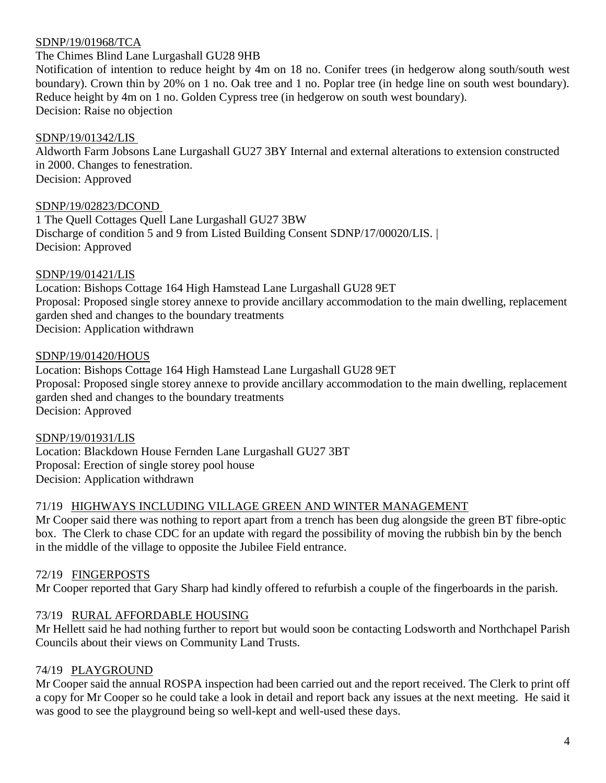#### SDNP/19/01968/TCA

#### The Chimes Blind Lane Lurgashall GU28 9HB

Notification of intention to reduce height by 4m on 18 no. Conifer trees (in hedgerow along south/south west boundary). Crown thin by 20% on 1 no. Oak tree and 1 no. Poplar tree (in hedge line on south west boundary). Reduce height by 4m on 1 no. Golden Cypress tree (in hedgerow on south west boundary). Decision: Raise no objection

#### SDNP/19/01342/LIS

Aldworth Farm Jobsons Lane Lurgashall GU27 3BY Internal and external alterations to extension constructed in 2000. Changes to fenestration. Decision: Approved

SDNP/19/02823/DCOND

1 The Quell Cottages Quell Lane Lurgashall GU27 3BW Discharge of condition 5 and 9 from Listed Building Consent SDNP/17/00020/LIS. | Decision: Approved

#### SDNP/19/01421/LIS

Location: Bishops Cottage 164 High Hamstead Lane Lurgashall GU28 9ET Proposal: Proposed single storey annexe to provide ancillary accommodation to the main dwelling, replacement garden shed and changes to the boundary treatments Decision: Application withdrawn

#### SDNP/19/01420/HOUS

Location: Bishops Cottage 164 High Hamstead Lane Lurgashall GU28 9ET Proposal: Proposed single storey annexe to provide ancillary accommodation to the main dwelling, replacement garden shed and changes to the boundary treatments Decision: Approved

#### SDNP/19/01931/LIS Location: Blackdown House Fernden Lane Lurgashall GU27 3BT Proposal: Erection of single storey pool house Decision: Application withdrawn

#### 71/19 HIGHWAYS INCLUDING VILLAGE GREEN AND WINTER MANAGEMENT

Mr Cooper said there was nothing to report apart from a trench has been dug alongside the green BT fibre-optic box. The Clerk to chase CDC for an update with regard the possibility of moving the rubbish bin by the bench in the middle of the village to opposite the Jubilee Field entrance.

# 72/19 FINGERPOSTS

Mr Cooper reported that Gary Sharp had kindly offered to refurbish a couple of the fingerboards in the parish.

# 73/19 RURAL AFFORDABLE HOUSING

Mr Hellett said he had nothing further to report but would soon be contacting Lodsworth and Northchapel Parish Councils about their views on Community Land Trusts.

#### 74/19 PLAYGROUND

Mr Cooper said the annual ROSPA inspection had been carried out and the report received. The Clerk to print off a copy for Mr Cooper so he could take a look in detail and report back any issues at the next meeting. He said it was good to see the playground being so well-kept and well-used these days.